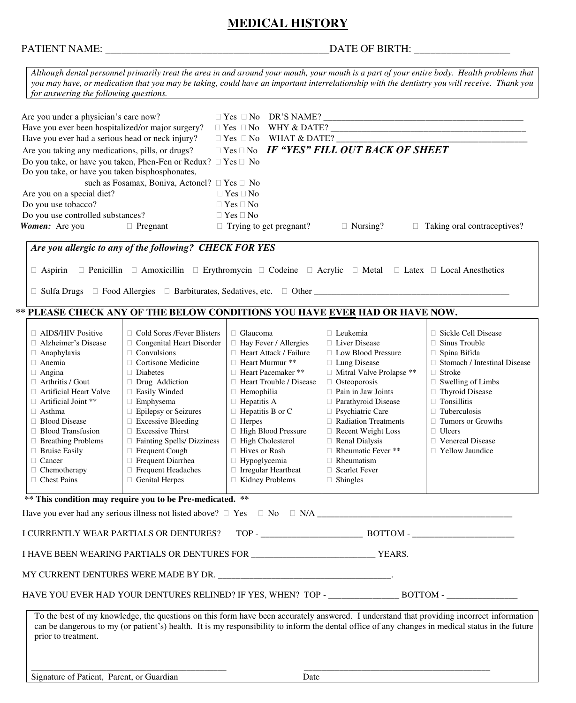## **MEDICAL HISTORY**

# PATIENT NAME: \_\_\_\_\_\_\_\_\_\_\_\_\_\_\_\_\_\_\_\_\_\_\_\_\_\_\_\_\_\_\_\_\_\_\_\_\_\_\_\_\_\_DATE OF BIRTH: \_\_\_\_\_\_\_\_\_\_\_\_\_\_\_\_\_\_

| Although dental personnel primarily treat the area in and around your mouth, your mouth is a part of your entire body. Health problems that<br>you may have, or medication that you may be taking, could have an important interrelationship with the dentistry you will receive. Thank you<br>for answering the following questions.                                                                                                                                                                                                                                                                                                                                                                                                                               |                                                                                                                                                                                                                                                                                                                                                                                          |                                                                                                                                                                                                                                                                                                                                                             |                                                                                                                                                                                                                                                                                                          |  |  |
|---------------------------------------------------------------------------------------------------------------------------------------------------------------------------------------------------------------------------------------------------------------------------------------------------------------------------------------------------------------------------------------------------------------------------------------------------------------------------------------------------------------------------------------------------------------------------------------------------------------------------------------------------------------------------------------------------------------------------------------------------------------------|------------------------------------------------------------------------------------------------------------------------------------------------------------------------------------------------------------------------------------------------------------------------------------------------------------------------------------------------------------------------------------------|-------------------------------------------------------------------------------------------------------------------------------------------------------------------------------------------------------------------------------------------------------------------------------------------------------------------------------------------------------------|----------------------------------------------------------------------------------------------------------------------------------------------------------------------------------------------------------------------------------------------------------------------------------------------------------|--|--|
| Are you under a physician's care now?<br>Have you ever been hospitalized/or major surgery?<br>Have you ever had a serious head or neck injury?<br>Are you taking any medications, pills, or drugs?<br>Do you take, or have you taken, Phen-Fen or Redux? $\Box$ Yes $\Box$ No<br>Do you take, or have you taken bisphosphonates,<br>such as Fosamax, Boniva, Actonel? □ Yes □ No<br>Are you on a special diet?<br>Do you use tobacco?<br>Do you use controlled substances?<br>Women: Are you<br>$\Box$ Pregnant<br>Are you allergic to any of the following? CHECK FOR YES                                                                                                                                                                                          | $\Box$ Yes $\Box$ No<br>$\Box$ Yes $\Box$ No<br>$\Box$ Yes $\Box$ No<br>$\Box$ Trying to get pregnant?                                                                                                                                                                                                                                                                                   | $\Box$ Yes $\Box$ No WHAT & DATE? $\_\_$<br>$\Box$ Yes $\Box$ No IF "YES" FILL OUT BACK OF SHEET<br>$\Box$ Nursing?                                                                                                                                                                                                                                         | $\Box$ Taking oral contraceptives?                                                                                                                                                                                                                                                                       |  |  |
| $\Box$ Aspirin $\Box$ Penicillin $\Box$ Amoxicillin $\Box$ Erythromycin $\Box$ Codeine $\Box$ Acrylic $\Box$ Metal $\Box$ Latex $\Box$ Local Anesthetics<br>** PLEASE CHECK ANY OF THE BELOW CONDITIONS YOU HAVE EVER HAD OR HAVE NOW.                                                                                                                                                                                                                                                                                                                                                                                                                                                                                                                              |                                                                                                                                                                                                                                                                                                                                                                                          |                                                                                                                                                                                                                                                                                                                                                             |                                                                                                                                                                                                                                                                                                          |  |  |
| □ Cold Sores /Fever Blisters<br>$\Box$ AIDS/HIV Positive<br>□ Congenital Heart Disorder<br>□ Alzheimer's Disease<br>$\Box$ Convulsions<br>$\Box$ Anaphylaxis<br>$\Box$ Cortisone Medicine<br>$\Box$ Anemia<br>$\Box$ Angina<br>$\Box$ Diabetes<br>$\Box$ Arthritis / Gout<br>Drug Addiction<br>□ Easily Winded<br>$\Box$ Artificial Heart Valve<br>$\Box$ Emphysema<br>$\Box$ Artificial Joint **<br>□ Epilepsy or Seizures<br>$\Box$ Asthma<br>$\Box$ Excessive Bleeding<br>□ Blood Disease<br>Excessive Thirst<br>□ Blood Transfusion<br>□ Breathing Problems<br>□ Fainting Spells/ Dizziness<br>$\Box$ Bruise Easily<br>Frequent Cough<br>□ Cancer<br>$\Box$ Frequent Diarrhea<br>$\Box$ Chemotherapy<br>□ Frequent Headaches<br>□ Chest Pains<br>Genital Herpes | □ Glaucoma<br>□ Hay Fever / Allergies<br>$\Box$ Heart Attack / Failure<br>□ Heart Murmur **<br>□ Heart Pacemaker **<br>$\Box$ Heart Trouble / Disease<br>$\Box$ Hemophilia<br>$\Box$ Hepatitis A<br>$\Box$ Hepatitis B or C<br>$\Box$ Herpes<br>□ High Blood Pressure<br>□ High Cholesterol<br>□ Hives or Rash<br>$\Box$ Hypoglycemia<br>$\Box$ Irregular Heartbeat<br>□ Kidney Problems | □ Leukemia<br>□ Liver Disease<br>□ Low Blood Pressure<br>□ Lung Disease<br>□ Mitral Valve Prolapse **<br>□ Osteoporosis<br>$\Box$ Pain in Jaw Joints<br>□ Parathyroid Disease<br>□ Psychiatric Care<br>Radiation Treatments<br>Recent Weight Loss<br>Renal Dialysis<br>$\Box$ Rheumatic Fever **<br>$\Box$ Rheumatism<br>□ Scarlet Fever<br>$\Box$ Shingles | □ Sickle Cell Disease<br>$\Box$ Sinus Trouble<br>□ Spina Bifida<br>□ Stomach / Intestinal Disease<br>$\Box$ Stroke<br>$\Box$ Swelling of Limbs<br>□ Thyroid Disease<br>$\Box$ Tonsillitis<br>$\Box$ Tuberculosis<br>$\Box$ Tumors or Growths<br>$\Box$ Ulcers<br>□ Venereal Disease<br>□ Yellow Jaundice |  |  |
| ** This condition may require you to be Pre-medicated. **                                                                                                                                                                                                                                                                                                                                                                                                                                                                                                                                                                                                                                                                                                           |                                                                                                                                                                                                                                                                                                                                                                                          |                                                                                                                                                                                                                                                                                                                                                             |                                                                                                                                                                                                                                                                                                          |  |  |
| I CURRENTLY WEAR PARTIALS OR DENTURES?                                                                                                                                                                                                                                                                                                                                                                                                                                                                                                                                                                                                                                                                                                                              |                                                                                                                                                                                                                                                                                                                                                                                          |                                                                                                                                                                                                                                                                                                                                                             |                                                                                                                                                                                                                                                                                                          |  |  |
|                                                                                                                                                                                                                                                                                                                                                                                                                                                                                                                                                                                                                                                                                                                                                                     |                                                                                                                                                                                                                                                                                                                                                                                          |                                                                                                                                                                                                                                                                                                                                                             |                                                                                                                                                                                                                                                                                                          |  |  |
| To the best of my knowledge, the questions on this form have been accurately answered. I understand that providing incorrect information<br>can be dangerous to my (or patient's) health. It is my responsibility to inform the dental office of any changes in medical status in the future<br>prior to treatment.                                                                                                                                                                                                                                                                                                                                                                                                                                                 |                                                                                                                                                                                                                                                                                                                                                                                          |                                                                                                                                                                                                                                                                                                                                                             |                                                                                                                                                                                                                                                                                                          |  |  |